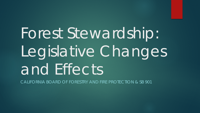Forest Stewardship: Legislative Changes and Effects

CALIFORNIA BOARD OF FORESTRY AND FIRE PROTECTION & SB 901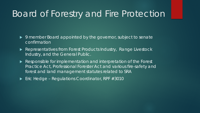## Board of Forestry and Fire Protection

- ▶ 9 member Board appointed by the governor, subject to senate confirmation
- ▶ Representatives from Forest Products Industry, Range Livestock Industry, and the General Public.
- Responsible for implementation and interpretation of the Forest Practice Act, Professional Forester Act and various fire-safety and forest and land management statutes related to SRA
- $\blacktriangleright$  Eric Hedge Regulations Coordinator, RPF #3010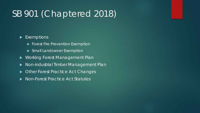# SB 901 (Chaptered 2018)

#### Exemptions

- **Forest Fire Prevention Exemption**
- **Small Landowner Exemption**
- ▶ Working Forest Management Plan
- Non-industrial Timber Management Plan
- ▶ Other Forest Practice Act Changes
- ▶ Non-Forest Practice Act Statutes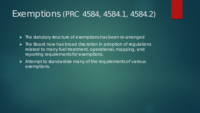#### Exemptions (PRC 4584, 4584.1, 4584.2)

 $\blacktriangleright$  The statutory structure of exemptions has been re-arranged

- ▶ The Board now has broad discretion in adoption of regulations related to many fuel treatment, operational, mapping, and reporting requirements for exemptions.
- Attempt to standardize many of the requirements of various exemptions.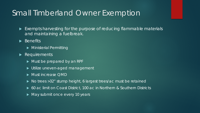#### Small Timberland Owner Exemption

- ▶ Exempts harvesting for the purpose of reducing flammable materials and maintaining a fuelbreak.
- $\blacktriangleright$  Benefits
	- **Ministerial Permitting**
- **Requirements** 
	- Must be prepared by an RPF
	- Utilize uneven-aged management
	- Must increase OMD
	- ▶ No trees > 32" stump height, 6 largest trees/ac must be retained
	- ▶ 60 ac limit on Coast District, 100 ac in Northern & Southern Districts
	- May submit once every 10 years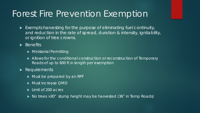### Forest Fire Prevention Exemption

- Exempts harvesting for the purpose of eliminating fuel continuity, and reduction in the rate of spread, duration & intensity, ignitability, or ignition of tree crowns.
- $\overline{\blacktriangleright}$  Benefits
	- **Ministerial Permitting**
	- ▶ Allows for the conditional construction or reconstruction of Temporary Roads of up to 600 ft in length per exemption
- Requirements
	- Must be prepared by an RPF
	- Must increase OMD
	- **Limit of 200 acres**
	- ▶ No trees > 30" stump height may be harvested (36" in Temp Roads)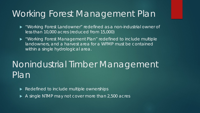# Working Forest Management Plan

- "Working Forest Landowner" redefined as a non-industrial owner of less than 10,000 acres (reduced from 15,000)
- "Working Forest Management Plan" redefined to include multiple landowners, and a harvest area for a WFMP must be contained within a single hydrological area.

# Nonindustrial Timber Management Plan

- Redefined to include multiple ownerships
- A single NTMP may not cover more than 2,500 acres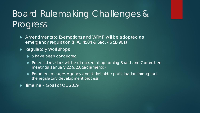# Board Rulemaking Challenges & Progress

- Amendments to Exemptions and WFMP will be adopted as emergency regulation (PRC 4584 & Sec. 46 SB 901)
- Regulatory Workshops
	- ▶ 5 have been conducted
	- ▶ Potential revisions will be discussed at upcoming Board and Committee meetings (January 22 & 23, Sacramento)
	- ▶ Board encourages Agency and stakeholder participation throughout the regulatory development process
- $\blacktriangleright$  Timeline Goal of Q1 2019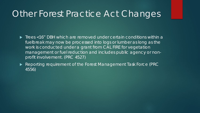## Other Forest Practice Act Changes

- ▶ Trees <16" DBH which are removed under certain conditions within a fuelbreak may now be processed into logs or lumber as long as the work is conducted under a grant from CAL FIRE for vegetation management or fuel reduction and includes public agency or nonprofit involvement. (PRC 4527)
- Reporting requirement of the Forest Management Task Force (PRC 4556)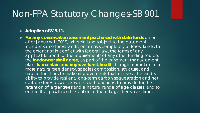## Non-FPA Statutory Changes-SB 901

#### **► Adoption of 815.11.**

 **For any conservation easement purchased with state funds** on or after January 1, 2019, wherein land subject to the easement includes some forest lands, or consists completely of forest lands, to the extent not in conflict with federal law, the terms of any applicable bond, or the requirements of any other funding source, the **landowner shall agree**, as part of the easement management plan, **to maintain and improve forest health** through promotion of a more natural tree density, species composition, structure, and habitat function, to make improvements that increase the land's ability to provide resilient, long-term carbon sequestration and net carbon stores as well as watershed functions, to provide for the retention of larger trees and a natural range of age classes, and to ensure the growth and retention of these larger trees over time.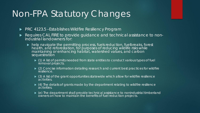# Non-FPA Statutory Changes

- ▶ PRC 4123.5 Establishes Wildfire Resiliency Program
- Requires CAL FIRE to provide guidance and technical assistance to non-<br>industrial landowners for:
	- help navigate the permitting process, fuels reduction, fuelbreaks, forest health, and reforestation, for purposes of reducing wildlife risks while maintaining or enhancing habitat, watershed values, and carbon sequestration
		- (1) A list of permits needed from state entities to conduct various types of fuel removal projects.
		- ▶ (2) Concise information detailing research and current best practices for wildfire resilience.
		- $\triangleright$  (3) A list of the grant opportunities statewide which allow for wildfire resilience activities.
		- $\blacktriangleright$  (4) The details of grants made by the department relating to wildfire resilience activities.
		- (e) The department shall provide technical assistance to nonindustrial timberland owners on how to maintain the benefits of fuel reduction projects.